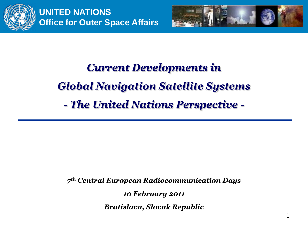



# *Current Developments in Global Navigation Satellite Systems - The United Nations Perspective -*

*7 th Central European Radiocommunication Days*

*10 February 2011* 

*Bratislava, Slovak Republic*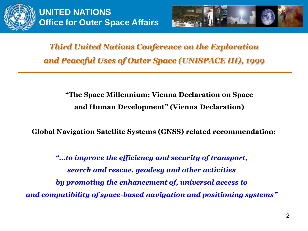



*Third United Nations Conference on the Exploration and Peaceful Uses of Outer Space (UNISPACE III), 1999*

> **"The Space Millennium: Vienna Declaration on Space and Human Development" (Vienna Declaration)**

**Global Navigation Satellite Systems (GNSS) related recommendation:**

*"…to improve the efficiency and security of transport, search and rescue, geodesy and other activities by promoting the enhancement of, universal access to and compatibility of space-based navigation and positioning systems"*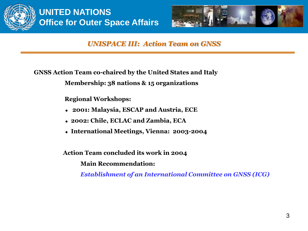



#### *UNISPACE III: Action Team on GNSS*

**GNSS Action Team co-chaired by the United States and Italy Membership: 38 nations & 15 organizations**

**Regional Workshops:** 

- **2001: Malaysia, ESCAP and Austria, ECE**
- **2002: Chile, ECLAC and Zambia, ECA**
- **International Meetings, Vienna: 2003-2004**

**Action Team concluded its work in 2004**

**Main Recommendation:** 

*Establishment of an International Committee on GNSS (ICG)*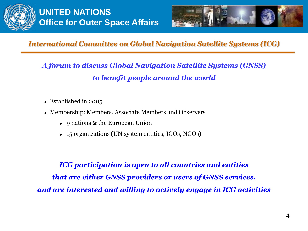



*A forum to discuss Global Navigation Satellite Systems (GNSS) to benefit people around the world*

- Established in 2005
- Membership: Members, Associate Members and Observers
	- ◆ 9 nations & the European Union
	- ◆ 15 organizations (UN system entities, IGOs, NGOs)

*ICG participation is open to all countries and entities that are either GNSS providers or users of GNSS services, and are interested and willing to actively engage in ICG activities*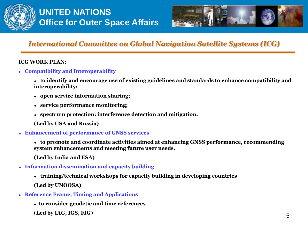



#### **ICG WORK PLAN:**

- **Compatibility and Interoperability**
	- **to identify and encourage use of existing guidelines and standards to enhance compatibility and interoperability;**
	- **open service information sharing;**
	- **service performance monitoring;**
	- **spectrum protection: interference detection and mitigation.**
	- **(Led by USA and Russia)**
- **Enhancement of performance of GNSS services**
	- **to promote and coordinate activities aimed at enhancing GNSS performance, recommending system enhancements and meeting future user needs.**
	- **(Led by India and ESA)**
- **Information dissemination and capacity building**
	- **training/technical workshops for capacity building in developing countries (Led by UNOOSA)**
- **Reference Frame, Timing and Applications**
	- **to consider geodetic and time references**
	- **(Led by IAG, IGS, FIG)**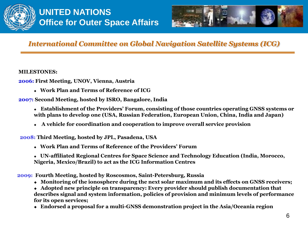



#### **MILESTONES:**

**2006: First Meeting, UNOV, Vienna, Austria**

**Work Plan and Terms of Reference of ICG**

**2007: Second Meeting, hosted by ISRO, Bangalore, India**

- **Establishment of the Providers' Forum, consisting of those countries operating GNSS systems or with plans to develop one (USA, Russian Federation, European Union, China, India and Japan)**
- **A vehicle for coordination and cooperation to improve overall service provision**

**2008: Third Meeting, hosted by JPL, Pasadena, USA** 

**Work Plan and Terms of Reference of the Providers' Forum**

 **UN-affiliated Regional Centres for Space Science and Technology Education (India, Morocco, Nigeria, Mexico/Brazil) to act as the ICG Information Centres**

**2009: Fourth Meeting, hosted by Roscosmos, Saint-Petersburg, Russia**

- **Monitoring of the ionosphere during the next solar maximum and its effects on GNSS receivers;**
- **Adopted new principle on transparency: Every provider should publish documentation that describes signal and system information, policies of provision and minimum levels of performance for its open services;**
- **Endorsed a proposal for a multi-GNSS demonstration project in the Asia/Oceania region**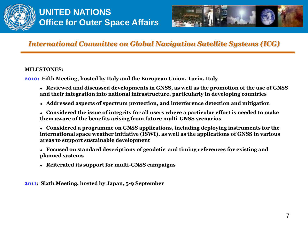



#### **MILESTONES:**

**2010: Fifth Meeting, hosted by Italy and the European Union, Turin, Italy**

- **Reviewed and discussed developments in GNSS, as well as the promotion of the use of GNSS and their integration into national infrastructure, particularly in developing countries**
- **Addressed aspects of spectrum protection, and interference detection and mitigation**
- **Considered the issue of integrity for all users where a particular effort is needed to make them aware of the benefits arising from future multi-GNSS scenarios**
- **Considered a programme on GNSS applications, including deploying instruments for the international space weather initiative (ISWI), as well as the applications of GNSS in various areas to support sustainable development**
- **Focused on standard descriptions of geodetic and timing references for existing and planned systems**
- **Reiterated its support for multi-GNSS campaigns**

**2011: Sixth Meeting, hosted by Japan, 5-9 September**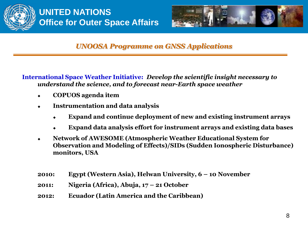



**International Space Weather Initiative:** *Develop the scientific insight necessary to understand the science, and to forecast near-Earth space weather* 

- **COPUOS agenda item**
- **Instrumentation and data analysis**
	- **Expand and continue deployment of new and existing instrument arrays**
	- **Expand data analysis effort for instrument arrays and existing data bases**
- **Network of AWESOME (Atmospheric Weather Educational System for Observation and Modeling of Effects)/SIDs (Sudden Ionospheric Disturbance) monitors, USA**
- **2010: Egypt (Western Asia), Helwan University, 6 – 10 November**
- **2011: Nigeria (Africa), Abuja, 17 – 21 October**
- **2012: Ecuador (Latin America and the Caribbean)**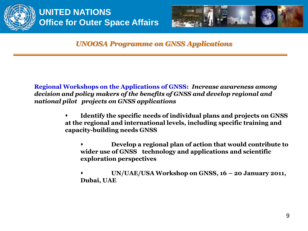



**Regional Workshops on the Applications of GNSS:** *Increase awareness among decision and policy makers of the benefits of GNSS and develop regional and national pilot projects on GNSS applications*

- **Identify the specific needs of individual plans and projects on GNSS at the regional and international levels, including specific training and capacity-building needs GNSS**
	- **Develop a regional plan of action that would contribute to wider use of GNSS technology and applications and scientific exploration perspectives**
	- **UN/UAE/USA Workshop on GNSS, 16 – 20 January 2011, Dubai, UAE**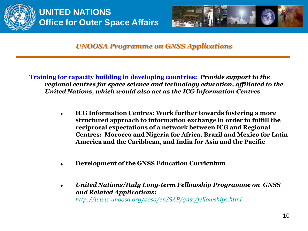



**Training for capacity building in developing countries:** *Provide support to the regional centres for space science and technology education, affiliated to the United Nations, which would also act as the ICG Information Centres*

- **ICG Information Centres: Work further towards fostering a more structured approach to information exchange in order to fulfill the reciprocal expectations of a network between ICG and Regional Centres: Morocco and Nigeria for Africa, Brazil and Mexico for Latin America and the Caribbean, and India for Asia and the Pacific**
- **Development of the GNSS Education Curriculum**
- *United Nations/Italy Long-term Fellowship Programme on GNSS and Related Applications: <http://www.unoosa.org/oosa/en/SAP/gnss/fellowships.html>*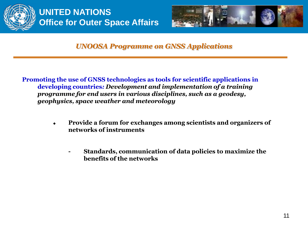



**Promoting the use of GNSS technologies as tools for scientific applications in developing countries***: Development and implementation of a training programme for end users in various disciplines, such as a geodesy, geophysics, space weather and meteorology* 

- **Provide a forum for exchanges among scientists and organizers of networks of instruments**
	- **- Standards, communication of data policies to maximize the benefits of the networks**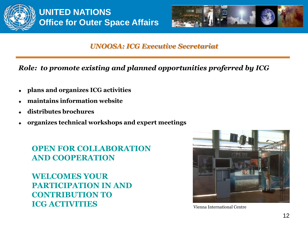



#### *UNOOSA: ICG Executive Secretariat*

*Role: to promote existing and planned opportunities proferred by ICG*

- **plans and organizes ICG activities**
- **maintains information website**
- **distributes brochures**
- **organizes technical workshops and expert meetings**

## **OPEN FOR COLLABORATION AND COOPERATION**

**WELCOMES YOUR PARTICIPATION IN AND CONTRIBUTION TO ICG ACTIVITIES** Vienna International Centre